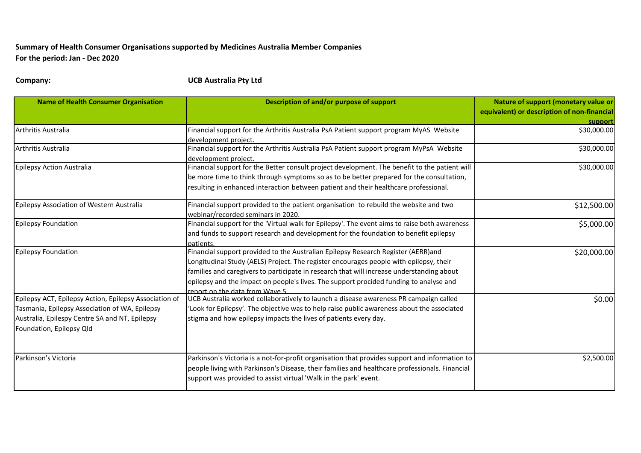## **Summary of Health Consumer Organisations supported by Medicines Australia Member Companies For the period: Jan - Dec 2020**

**Company: UCB Australia Pty Ltd**

| <b>Name of Health Consumer Organisation</b>                                                                                                                                            | Description of and/or purpose of support                                                                                                                                                                                                                                                                                                                                                             | Nature of support (monetary value or<br>equivalent) or description of non-financial<br>support |
|----------------------------------------------------------------------------------------------------------------------------------------------------------------------------------------|------------------------------------------------------------------------------------------------------------------------------------------------------------------------------------------------------------------------------------------------------------------------------------------------------------------------------------------------------------------------------------------------------|------------------------------------------------------------------------------------------------|
| Arthritis Australia                                                                                                                                                                    | Financial support for the Arthritis Australia PsA Patient support program MyAS Website<br>development project.                                                                                                                                                                                                                                                                                       | \$30,000.00                                                                                    |
| Arthritis Australia                                                                                                                                                                    | Financial support for the Arthritis Australia PsA Patient support program MyPsA Website<br>development project.                                                                                                                                                                                                                                                                                      | \$30,000.00                                                                                    |
| Epilepsy Action Australia                                                                                                                                                              | Financial support for the Better consult project development. The benefit to the patient will<br>be more time to think through symptoms so as to be better prepared for the consultation,<br>resulting in enhanced interaction between patient and their healthcare professional.                                                                                                                    | \$30,000.00                                                                                    |
| Epilepsy Association of Western Australia                                                                                                                                              | Financial support provided to the patient organisation to rebuild the website and two<br>webinar/recorded seminars in 2020.                                                                                                                                                                                                                                                                          | \$12,500.00                                                                                    |
| <b>Epilepsy Foundation</b>                                                                                                                                                             | Financial support for the 'Virtual walk for Epilepsy'. The event aims to raise both awareness<br>and funds to support research and development for the foundation to benefit epilepsy<br>patients.                                                                                                                                                                                                   | \$5,000.00                                                                                     |
| <b>Epilepsy Foundation</b>                                                                                                                                                             | Financial support provided to the Australian Epilepsy Research Register (AERR)and<br>Longitudinal Study (AELS) Project. The register encourages people with epilepsy, their<br>families and caregivers to participate in research that will increase understanding about<br>epilepsy and the impact on people's lives. The support procided funding to analyse and<br>report on the data from Wave 5 | \$20,000.00                                                                                    |
| Epilepsy ACT, Epilepsy Action, Epilepsy Association of<br>Tasmania, Epilepsy Association of WA, Epilepsy<br>Australia, Epilespy Centre SA and NT, Epilepsy<br>Foundation, Epilepsy Qld | UCB Australia worked collaboratively to launch a disease awareness PR campaign called<br>'Look for Epilepsy'. The objective was to help raise public awareness about the associated<br>stigma and how epilepsy impacts the lives of patients every day.                                                                                                                                              | \$0.00                                                                                         |
| Parkinson's Victoria                                                                                                                                                                   | Parkinson's Victoria is a not-for-profit organisation that provides support and information to<br>people living with Parkinson's Disease, their families and healthcare professionals. Financial<br>support was provided to assist virtual 'Walk in the park' event.                                                                                                                                 | \$2,500.00                                                                                     |